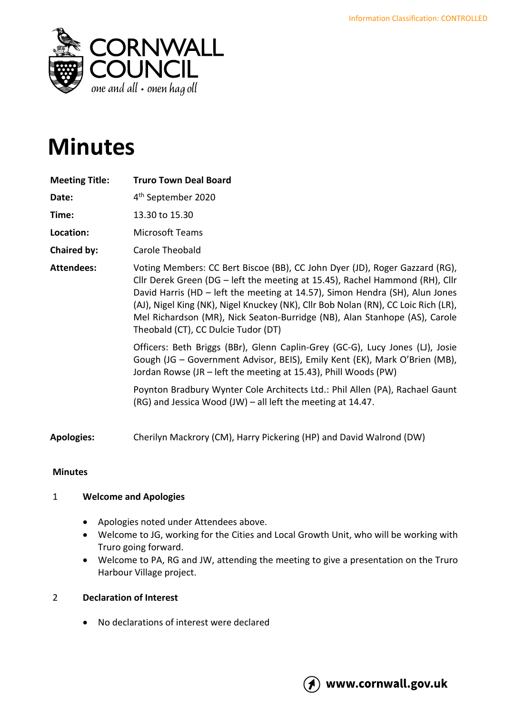

# **Minutes**

| <b>Meeting Title:</b> | <b>Truro Town Deal Board</b>                                                                                                                                                                                                                                                                                                                                                                                                                           |
|-----------------------|--------------------------------------------------------------------------------------------------------------------------------------------------------------------------------------------------------------------------------------------------------------------------------------------------------------------------------------------------------------------------------------------------------------------------------------------------------|
| Date:                 | 4 <sup>th</sup> September 2020                                                                                                                                                                                                                                                                                                                                                                                                                         |
| Time:                 | 13.30 to 15.30                                                                                                                                                                                                                                                                                                                                                                                                                                         |
| Location:             | <b>Microsoft Teams</b>                                                                                                                                                                                                                                                                                                                                                                                                                                 |
| Chaired by:           | Carole Theobald                                                                                                                                                                                                                                                                                                                                                                                                                                        |
| <b>Attendees:</b>     | Voting Members: CC Bert Biscoe (BB), CC John Dyer (JD), Roger Gazzard (RG),<br>Cllr Derek Green (DG - left the meeting at 15.45), Rachel Hammond (RH), Cllr<br>David Harris (HD - left the meeting at 14.57), Simon Hendra (SH), Alun Jones<br>(AJ), Nigel King (NK), Nigel Knuckey (NK), Cllr Bob Nolan (RN), CC Loic Rich (LR),<br>Mel Richardson (MR), Nick Seaton-Burridge (NB), Alan Stanhope (AS), Carole<br>Theobald (CT), CC Dulcie Tudor (DT) |
|                       | Officers: Beth Briggs (BBr), Glenn Caplin-Grey (GC-G), Lucy Jones (LJ), Josie<br>Gough (JG - Government Advisor, BEIS), Emily Kent (EK), Mark O'Brien (MB),<br>Jordan Rowse (JR - left the meeting at 15.43), Phill Woods (PW)                                                                                                                                                                                                                         |
|                       | Poynton Bradbury Wynter Cole Architects Ltd.: Phil Allen (PA), Rachael Gaunt<br>(RG) and Jessica Wood (JW) - all left the meeting at 14.47.                                                                                                                                                                                                                                                                                                            |
| <b>Apologies:</b>     | Cherilyn Mackrory (CM), Harry Pickering (HP) and David Walrond (DW)                                                                                                                                                                                                                                                                                                                                                                                    |

# **Minutes**

# 1 **Welcome and Apologies**

- Apologies noted under Attendees above.
- Welcome to JG, working for the Cities and Local Growth Unit, who will be working with Truro going forward.
- Welcome to PA, RG and JW, attending the meeting to give a presentation on the Truro Harbour Village project.

# 2 **Declaration of Interest**

• No declarations of interest were declared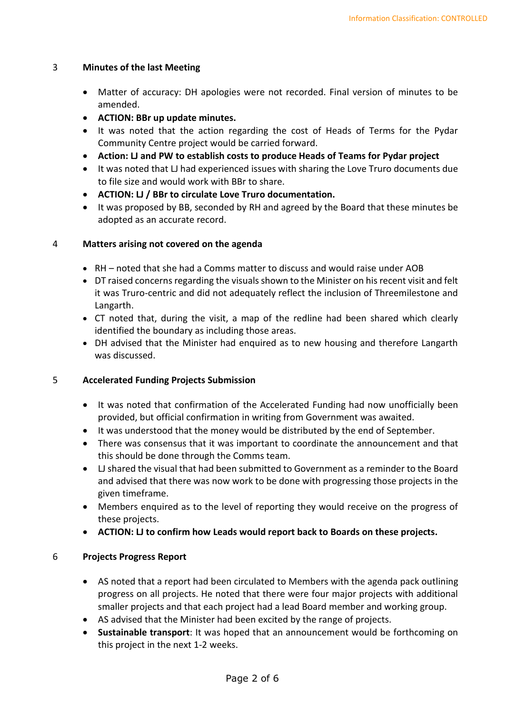#### 3 **Minutes of the last Meeting**

- Matter of accuracy: DH apologies were not recorded. Final version of minutes to be amended.
- **ACTION: BBr up update minutes.**
- It was noted that the action regarding the cost of Heads of Terms for the Pydar Community Centre project would be carried forward.
- **Action: LJ and PW to establish costs to produce Heads of Teams for Pydar project**
- It was noted that LJ had experienced issues with sharing the Love Truro documents due to file size and would work with BBr to share.
- **ACTION: LJ / BBr to circulate Love Truro documentation.**
- It was proposed by BB, seconded by RH and agreed by the Board that these minutes be adopted as an accurate record.

## 4 **Matters arising not covered on the agenda**

- RH noted that she had a Comms matter to discuss and would raise under AOB
- DT raised concerns regarding the visuals shown to the Minister on his recent visit and felt it was Truro-centric and did not adequately reflect the inclusion of Threemilestone and Langarth.
- CT noted that, during the visit, a map of the redline had been shared which clearly identified the boundary as including those areas.
- DH advised that the Minister had enquired as to new housing and therefore Langarth was discussed.

#### 5 **Accelerated Funding Projects Submission**

- It was noted that confirmation of the Accelerated Funding had now unofficially been provided, but official confirmation in writing from Government was awaited.
- It was understood that the money would be distributed by the end of September.
- There was consensus that it was important to coordinate the announcement and that this should be done through the Comms team.
- LJ shared the visual that had been submitted to Government as a reminder to the Board and advised that there was now work to be done with progressing those projects in the given timeframe.
- Members enquired as to the level of reporting they would receive on the progress of these projects.
- **ACTION: LJ to confirm how Leads would report back to Boards on these projects.**

# 6 **Projects Progress Report**

- AS noted that a report had been circulated to Members with the agenda pack outlining progress on all projects. He noted that there were four major projects with additional smaller projects and that each project had a lead Board member and working group.
- AS advised that the Minister had been excited by the range of projects.
- **Sustainable transport**: It was hoped that an announcement would be forthcoming on this project in the next 1-2 weeks.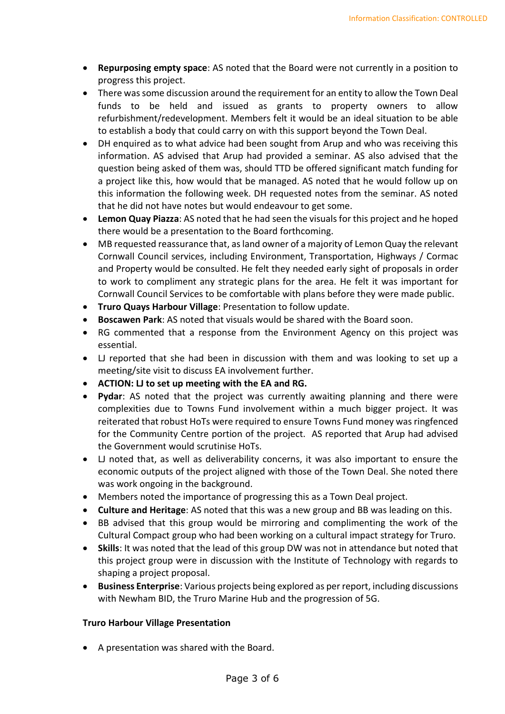- **Repurposing empty space**: AS noted that the Board were not currently in a position to progress this project.
- There was some discussion around the requirement for an entity to allow the Town Deal funds to be held and issued as grants to property owners to allow refurbishment/redevelopment. Members felt it would be an ideal situation to be able to establish a body that could carry on with this support beyond the Town Deal.
- DH enquired as to what advice had been sought from Arup and who was receiving this information. AS advised that Arup had provided a seminar. AS also advised that the question being asked of them was, should TTD be offered significant match funding for a project like this, how would that be managed. AS noted that he would follow up on this information the following week. DH requested notes from the seminar. AS noted that he did not have notes but would endeavour to get some.
- **Lemon Quay Piazza**: AS noted that he had seen the visuals for this project and he hoped there would be a presentation to the Board forthcoming.
- MB requested reassurance that, as land owner of a majority of Lemon Quay the relevant Cornwall Council services, including Environment, Transportation, Highways / Cormac and Property would be consulted. He felt they needed early sight of proposals in order to work to compliment any strategic plans for the area. He felt it was important for Cornwall Council Services to be comfortable with plans before they were made public.
- **Truro Quays Harbour Village**: Presentation to follow update.
- **Boscawen Park**: AS noted that visuals would be shared with the Board soon.
- RG commented that a response from the Environment Agency on this project was essential.
- LJ reported that she had been in discussion with them and was looking to set up a meeting/site visit to discuss EA involvement further.
- **ACTION: LJ to set up meeting with the EA and RG.**
- **Pydar**: AS noted that the project was currently awaiting planning and there were complexities due to Towns Fund involvement within a much bigger project. It was reiterated that robust HoTs were required to ensure Towns Fund money was ringfenced for the Community Centre portion of the project. AS reported that Arup had advised the Government would scrutinise HoTs.
- LJ noted that, as well as deliverability concerns, it was also important to ensure the economic outputs of the project aligned with those of the Town Deal. She noted there was work ongoing in the background.
- Members noted the importance of progressing this as a Town Deal project.
- **Culture and Heritage**: AS noted that this was a new group and BB was leading on this.
- BB advised that this group would be mirroring and complimenting the work of the Cultural Compact group who had been working on a cultural impact strategy for Truro.
- **Skills**: It was noted that the lead of this group DW was not in attendance but noted that this project group were in discussion with the Institute of Technology with regards to shaping a project proposal.
- **Business Enterprise**: Various projects being explored as per report, including discussions with Newham BID, the Truro Marine Hub and the progression of 5G.

#### **Truro Harbour Village Presentation**

• A presentation was shared with the Board.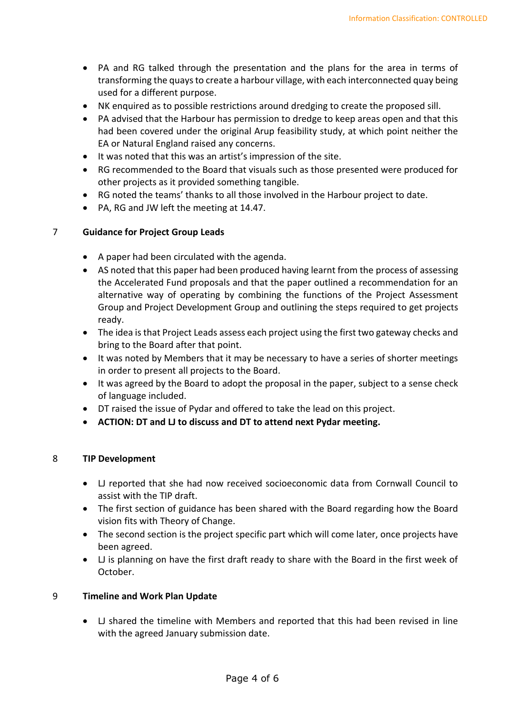- PA and RG talked through the presentation and the plans for the area in terms of transforming the quays to create a harbour village, with each interconnected quay being used for a different purpose.
- NK enquired as to possible restrictions around dredging to create the proposed sill.
- PA advised that the Harbour has permission to dredge to keep areas open and that this had been covered under the original Arup feasibility study, at which point neither the EA or Natural England raised any concerns.
- It was noted that this was an artist's impression of the site.
- RG recommended to the Board that visuals such as those presented were produced for other projects as it provided something tangible.
- RG noted the teams' thanks to all those involved in the Harbour project to date.
- PA, RG and JW left the meeting at 14.47.

#### 7 **Guidance for Project Group Leads**

- A paper had been circulated with the agenda.
- AS noted that this paper had been produced having learnt from the process of assessing the Accelerated Fund proposals and that the paper outlined a recommendation for an alternative way of operating by combining the functions of the Project Assessment Group and Project Development Group and outlining the steps required to get projects ready.
- The idea is that Project Leads assess each project using the first two gateway checks and bring to the Board after that point.
- It was noted by Members that it may be necessary to have a series of shorter meetings in order to present all projects to the Board.
- It was agreed by the Board to adopt the proposal in the paper, subject to a sense check of language included.
- DT raised the issue of Pydar and offered to take the lead on this project.
- **ACTION: DT and LJ to discuss and DT to attend next Pydar meeting.**

#### 8 **TIP Development**

- LJ reported that she had now received socioeconomic data from Cornwall Council to assist with the TIP draft.
- The first section of guidance has been shared with the Board regarding how the Board vision fits with Theory of Change.
- The second section is the project specific part which will come later, once projects have been agreed.
- LJ is planning on have the first draft ready to share with the Board in the first week of October.

#### 9 **Timeline and Work Plan Update**

• LJ shared the timeline with Members and reported that this had been revised in line with the agreed January submission date.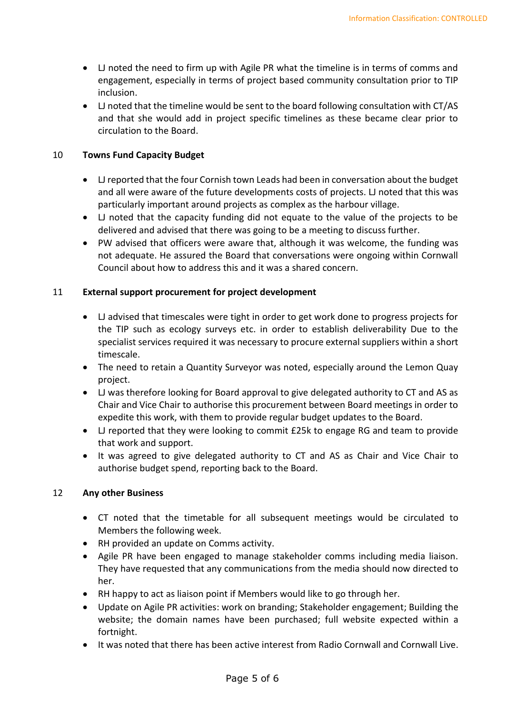- LJ noted the need to firm up with Agile PR what the timeline is in terms of comms and engagement, especially in terms of project based community consultation prior to TIP inclusion.
- LJ noted that the timeline would be sent to the board following consultation with CT/AS and that she would add in project specific timelines as these became clear prior to circulation to the Board.

## 10 **Towns Fund Capacity Budget**

- LJ reported that the four Cornish town Leads had been in conversation about the budget and all were aware of the future developments costs of projects. LJ noted that this was particularly important around projects as complex as the harbour village.
- LJ noted that the capacity funding did not equate to the value of the projects to be delivered and advised that there was going to be a meeting to discuss further.
- PW advised that officers were aware that, although it was welcome, the funding was not adequate. He assured the Board that conversations were ongoing within Cornwall Council about how to address this and it was a shared concern.

## 11 **External support procurement for project development**

- LJ advised that timescales were tight in order to get work done to progress projects for the TIP such as ecology surveys etc. in order to establish deliverability Due to the specialist services required it was necessary to procure external suppliers within a short timescale.
- The need to retain a Quantity Surveyor was noted, especially around the Lemon Quay project.
- LJ was therefore looking for Board approval to give delegated authority to CT and AS as Chair and Vice Chair to authorise this procurement between Board meetings in order to expedite this work, with them to provide regular budget updates to the Board.
- LJ reported that they were looking to commit £25k to engage RG and team to provide that work and support.
- It was agreed to give delegated authority to CT and AS as Chair and Vice Chair to authorise budget spend, reporting back to the Board.

#### 12 **Any other Business**

- CT noted that the timetable for all subsequent meetings would be circulated to Members the following week.
- RH provided an update on Comms activity.
- Agile PR have been engaged to manage stakeholder comms including media liaison. They have requested that any communications from the media should now directed to her.
- RH happy to act as liaison point if Members would like to go through her.
- Update on Agile PR activities: work on branding; Stakeholder engagement; Building the website; the domain names have been purchased; full website expected within a fortnight.
- It was noted that there has been active interest from Radio Cornwall and Cornwall Live.